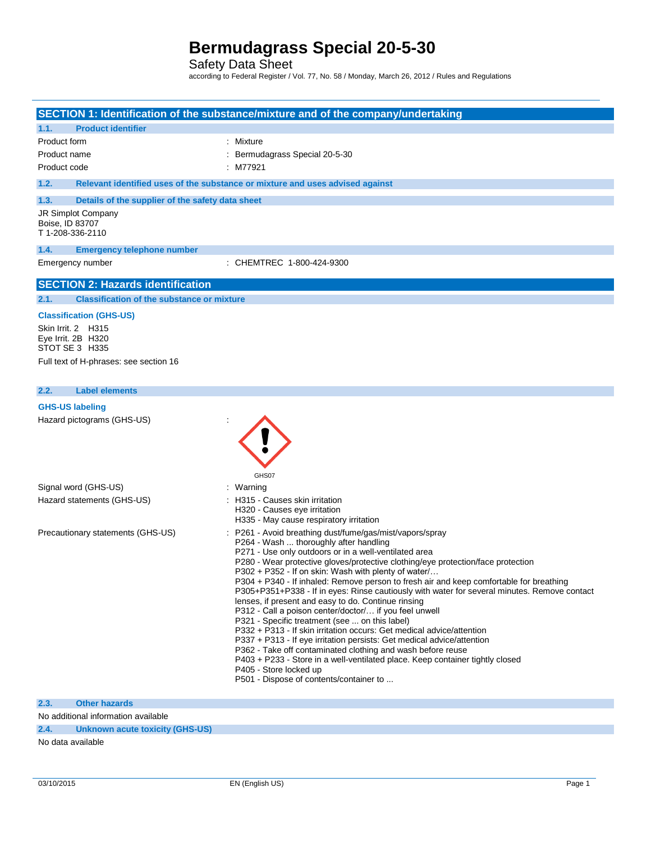Safety Data Sheet

according to Federal Register / Vol. 77, No. 58 / Monday, March 26, 2012 / Rules and Regulations

|                                     |                                                            | SECTION 1: Identification of the substance/mixture and of the company/undertaking                                                                                                                                                                                                                                                                                                                                                                                                                                                                                                                                                                                                                                                                                                                                                                                                                                                                                                                                                           |
|-------------------------------------|------------------------------------------------------------|---------------------------------------------------------------------------------------------------------------------------------------------------------------------------------------------------------------------------------------------------------------------------------------------------------------------------------------------------------------------------------------------------------------------------------------------------------------------------------------------------------------------------------------------------------------------------------------------------------------------------------------------------------------------------------------------------------------------------------------------------------------------------------------------------------------------------------------------------------------------------------------------------------------------------------------------------------------------------------------------------------------------------------------------|
| 1.1.                                | <b>Product identifier</b>                                  |                                                                                                                                                                                                                                                                                                                                                                                                                                                                                                                                                                                                                                                                                                                                                                                                                                                                                                                                                                                                                                             |
| Product form                        |                                                            | : Mixture                                                                                                                                                                                                                                                                                                                                                                                                                                                                                                                                                                                                                                                                                                                                                                                                                                                                                                                                                                                                                                   |
| Product name                        |                                                            | Bermudagrass Special 20-5-30                                                                                                                                                                                                                                                                                                                                                                                                                                                                                                                                                                                                                                                                                                                                                                                                                                                                                                                                                                                                                |
| Product code                        |                                                            | : M77921                                                                                                                                                                                                                                                                                                                                                                                                                                                                                                                                                                                                                                                                                                                                                                                                                                                                                                                                                                                                                                    |
| 1.2.                                |                                                            | Relevant identified uses of the substance or mixture and uses advised against                                                                                                                                                                                                                                                                                                                                                                                                                                                                                                                                                                                                                                                                                                                                                                                                                                                                                                                                                               |
| 1.3.                                | Details of the supplier of the safety data sheet           |                                                                                                                                                                                                                                                                                                                                                                                                                                                                                                                                                                                                                                                                                                                                                                                                                                                                                                                                                                                                                                             |
| Boise, ID 83707<br>T 1-208-336-2110 | JR Simplot Company                                         |                                                                                                                                                                                                                                                                                                                                                                                                                                                                                                                                                                                                                                                                                                                                                                                                                                                                                                                                                                                                                                             |
| 1.4.                                | <b>Emergency telephone number</b>                          |                                                                                                                                                                                                                                                                                                                                                                                                                                                                                                                                                                                                                                                                                                                                                                                                                                                                                                                                                                                                                                             |
|                                     | Emergency number                                           | : CHEMTREC 1-800-424-9300                                                                                                                                                                                                                                                                                                                                                                                                                                                                                                                                                                                                                                                                                                                                                                                                                                                                                                                                                                                                                   |
|                                     | <b>SECTION 2: Hazards identification</b>                   |                                                                                                                                                                                                                                                                                                                                                                                                                                                                                                                                                                                                                                                                                                                                                                                                                                                                                                                                                                                                                                             |
| 2.1.                                | <b>Classification of the substance or mixture</b>          |                                                                                                                                                                                                                                                                                                                                                                                                                                                                                                                                                                                                                                                                                                                                                                                                                                                                                                                                                                                                                                             |
|                                     | <b>Classification (GHS-US)</b>                             |                                                                                                                                                                                                                                                                                                                                                                                                                                                                                                                                                                                                                                                                                                                                                                                                                                                                                                                                                                                                                                             |
|                                     | Skin Irrit. 2 H315<br>Eye Irrit. 2B H320<br>STOT SE 3 H335 |                                                                                                                                                                                                                                                                                                                                                                                                                                                                                                                                                                                                                                                                                                                                                                                                                                                                                                                                                                                                                                             |
|                                     | Full text of H-phrases: see section 16                     |                                                                                                                                                                                                                                                                                                                                                                                                                                                                                                                                                                                                                                                                                                                                                                                                                                                                                                                                                                                                                                             |
| 2.2.                                | <b>Label elements</b>                                      |                                                                                                                                                                                                                                                                                                                                                                                                                                                                                                                                                                                                                                                                                                                                                                                                                                                                                                                                                                                                                                             |
| <b>GHS-US labeling</b>              |                                                            |                                                                                                                                                                                                                                                                                                                                                                                                                                                                                                                                                                                                                                                                                                                                                                                                                                                                                                                                                                                                                                             |
|                                     | Hazard pictograms (GHS-US)                                 | GHS07                                                                                                                                                                                                                                                                                                                                                                                                                                                                                                                                                                                                                                                                                                                                                                                                                                                                                                                                                                                                                                       |
|                                     | Signal word (GHS-US)                                       | : Warning                                                                                                                                                                                                                                                                                                                                                                                                                                                                                                                                                                                                                                                                                                                                                                                                                                                                                                                                                                                                                                   |
|                                     | Hazard statements (GHS-US)                                 | : H315 - Causes skin irritation<br>H320 - Causes eye irritation<br>H335 - May cause respiratory irritation                                                                                                                                                                                                                                                                                                                                                                                                                                                                                                                                                                                                                                                                                                                                                                                                                                                                                                                                  |
|                                     | Precautionary statements (GHS-US)                          | P261 - Avoid breathing dust/fume/gas/mist/vapors/spray<br>P264 - Wash  thoroughly after handling<br>P271 - Use only outdoors or in a well-ventilated area<br>P280 - Wear protective gloves/protective clothing/eye protection/face protection<br>P302 + P352 - If on skin: Wash with plenty of water/<br>P304 + P340 - If inhaled: Remove person to fresh air and keep comfortable for breathing<br>P305+P351+P338 - If in eyes: Rinse cautiously with water for several minutes. Remove contact<br>lenses, if present and easy to do. Continue rinsing<br>P312 - Call a poison center/doctor/ if you feel unwell<br>P321 - Specific treatment (see  on this label)<br>P332 + P313 - If skin irritation occurs: Get medical advice/attention<br>P337 + P313 - If eye irritation persists: Get medical advice/attention<br>P362 - Take off contaminated clothing and wash before reuse<br>P403 + P233 - Store in a well-ventilated place. Keep container tightly closed<br>P405 - Store locked up<br>P501 - Dispose of contents/container to |
| 2.3.                                | <b>Other hazards</b>                                       |                                                                                                                                                                                                                                                                                                                                                                                                                                                                                                                                                                                                                                                                                                                                                                                                                                                                                                                                                                                                                                             |

No additional information available

**2.4. Unknown acute toxicity (GHS-US)**

No data available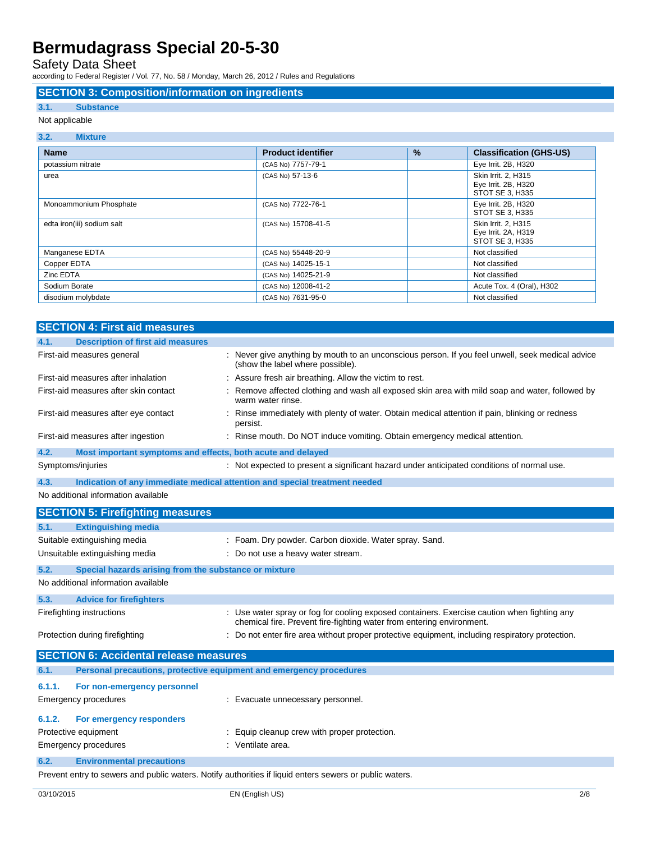Safety Data Sheet

according to Federal Register / Vol. 77, No. 58 / Monday, March 26, 2012 / Rules and Regulations

#### **SECTION 3: Composition/information on ingredients**

### **3.1. Substance**

### Not applicable

#### **3.2. Mixture**

| <b>Name</b>                | <b>Product identifier</b> | $\frac{9}{6}$ | <b>Classification (GHS-US)</b>                                |
|----------------------------|---------------------------|---------------|---------------------------------------------------------------|
| potassium nitrate          | (CAS No) 7757-79-1        |               | Eye Irrit. 2B, H320                                           |
| urea                       | (CAS No) 57-13-6          |               | Skin Irrit. 2, H315<br>Eye Irrit. 2B, H320<br>STOT SE 3, H335 |
| Monoammonium Phosphate     | (CAS No) 7722-76-1        |               | Eye Irrit. 2B, H320<br>STOT SE 3, H335                        |
| edta iron(iii) sodium salt | (CAS No) 15708-41-5       |               | Skin Irrit. 2, H315<br>Eye Irrit. 2A, H319<br>STOT SE 3, H335 |
| Manganese EDTA             | (CAS No) 55448-20-9       |               | Not classified                                                |
| Copper EDTA                | (CAS No) 14025-15-1       |               | Not classified                                                |
| Zinc EDTA                  | (CAS No) 14025-21-9       |               | Not classified                                                |
| Sodium Borate              | (CAS No) 12008-41-2       |               | Acute Tox. 4 (Oral), H302                                     |
| disodium molybdate         | (CAS No) 7631-95-0        |               | Not classified                                                |

|                             | <b>SECTION 4: First aid measures</b>                                |                                                                                                                                                                      |
|-----------------------------|---------------------------------------------------------------------|----------------------------------------------------------------------------------------------------------------------------------------------------------------------|
| 4.1.                        | <b>Description of first aid measures</b>                            |                                                                                                                                                                      |
|                             | First-aid measures general                                          | : Never give anything by mouth to an unconscious person. If you feel unwell, seek medical advice<br>(show the label where possible).                                 |
|                             | First-aid measures after inhalation                                 | : Assure fresh air breathing. Allow the victim to rest.                                                                                                              |
|                             | First-aid measures after skin contact                               | : Remove affected clothing and wash all exposed skin area with mild soap and water, followed by<br>warm water rinse.                                                 |
|                             | First-aid measures after eye contact                                | : Rinse immediately with plenty of water. Obtain medical attention if pain, blinking or redness<br>persist.                                                          |
|                             | First-aid measures after ingestion                                  | : Rinse mouth. Do NOT induce vomiting. Obtain emergency medical attention.                                                                                           |
| 4.2.                        | Most important symptoms and effects, both acute and delayed         |                                                                                                                                                                      |
| Symptoms/injuries           |                                                                     | : Not expected to present a significant hazard under anticipated conditions of normal use.                                                                           |
| 4.3.                        |                                                                     | Indication of any immediate medical attention and special treatment needed                                                                                           |
|                             | No additional information available                                 |                                                                                                                                                                      |
|                             | <b>SECTION 5: Firefighting measures</b>                             |                                                                                                                                                                      |
| 5.1.                        | <b>Extinguishing media</b>                                          |                                                                                                                                                                      |
|                             | Suitable extinguishing media                                        | : Foam. Dry powder. Carbon dioxide. Water spray. Sand.                                                                                                               |
|                             | Unsuitable extinguishing media                                      | : Do not use a heavy water stream.                                                                                                                                   |
| 5.2.                        | Special hazards arising from the substance or mixture               |                                                                                                                                                                      |
|                             | No additional information available                                 |                                                                                                                                                                      |
| 5.3.                        | <b>Advice for firefighters</b>                                      |                                                                                                                                                                      |
| Firefighting instructions   |                                                                     | : Use water spray or fog for cooling exposed containers. Exercise caution when fighting any<br>chemical fire. Prevent fire-fighting water from entering environment. |
|                             | Protection during firefighting                                      | : Do not enter fire area without proper protective equipment, including respiratory protection.                                                                      |
|                             | <b>SECTION 6: Accidental release measures</b>                       |                                                                                                                                                                      |
| 6.1.                        | Personal precautions, protective equipment and emergency procedures |                                                                                                                                                                      |
| 6.1.1.                      | For non-emergency personnel                                         |                                                                                                                                                                      |
| <b>Emergency procedures</b> |                                                                     | : Evacuate unnecessary personnel.                                                                                                                                    |
| 6.1.2.                      | For emergency responders                                            |                                                                                                                                                                      |
| Protective equipment        |                                                                     | : Equip cleanup crew with proper protection.                                                                                                                         |
| <b>Emergency procedures</b> |                                                                     | : Ventilate area.                                                                                                                                                    |
| 6.2.                        | <b>Environmental precautions</b>                                    |                                                                                                                                                                      |
|                             |                                                                     | Prevent entry to sewers and public waters. Notify authorities if liquid enters sewers or public waters                                                               |

Prevent entry to sewers and public waters. Notify authorities if liquid enters sewers or public waters.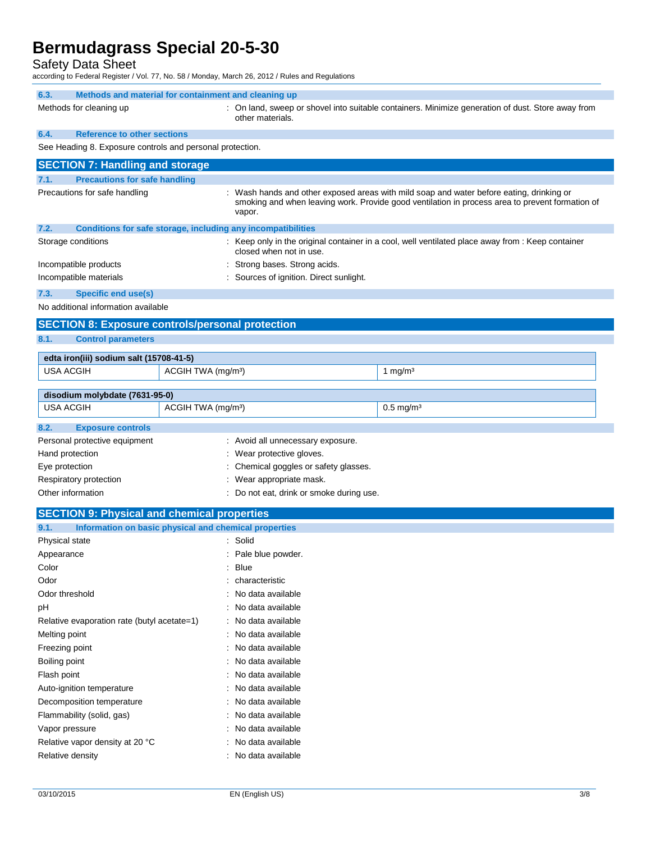Safety Data Sheet

according to Federal Register / Vol. 77, No. 58 / Monday, March 26, 2012 / Rules and Regulations

| 6.3.<br>Methods and material for containment and cleaning up |                                                                                                                       |                                                                                                                                                                                             |  |
|--------------------------------------------------------------|-----------------------------------------------------------------------------------------------------------------------|---------------------------------------------------------------------------------------------------------------------------------------------------------------------------------------------|--|
| Methods for cleaning up                                      | : On land, sweep or shovel into suitable containers. Minimize generation of dust. Store away from<br>other materials. |                                                                                                                                                                                             |  |
| 6.4.<br><b>Reference to other sections</b>                   |                                                                                                                       |                                                                                                                                                                                             |  |
| See Heading 8. Exposure controls and personal protection.    |                                                                                                                       |                                                                                                                                                                                             |  |
| <b>SECTION 7: Handling and storage</b>                       |                                                                                                                       |                                                                                                                                                                                             |  |
| <b>Precautions for safe handling</b><br>7.1.                 |                                                                                                                       |                                                                                                                                                                                             |  |
| Precautions for safe handling                                | vapor.                                                                                                                | : Wash hands and other exposed areas with mild soap and water before eating, drinking or<br>smoking and when leaving work. Provide good ventilation in process area to prevent formation of |  |
| 7.2.                                                         | Conditions for safe storage, including any incompatibilities                                                          |                                                                                                                                                                                             |  |
| Storage conditions                                           | closed when not in use.                                                                                               | : Keep only in the original container in a cool, well ventilated place away from : Keep container                                                                                           |  |
| Incompatible products                                        | : Strong bases. Strong acids.                                                                                         |                                                                                                                                                                                             |  |
| Incompatible materials                                       | : Sources of ignition. Direct sunlight.                                                                               |                                                                                                                                                                                             |  |
| 7.3.<br><b>Specific end use(s)</b>                           |                                                                                                                       |                                                                                                                                                                                             |  |
| No additional information available                          |                                                                                                                       |                                                                                                                                                                                             |  |
|                                                              | <b>SECTION 8: Exposure controls/personal protection</b>                                                               |                                                                                                                                                                                             |  |
| 8.1.<br><b>Control parameters</b>                            |                                                                                                                       |                                                                                                                                                                                             |  |
| edta iron(iii) sodium salt (15708-41-5)                      |                                                                                                                       |                                                                                                                                                                                             |  |
| <b>USA ACGIH</b>                                             | ACGIH TWA (mg/m <sup>3</sup> )                                                                                        | 1 mg/m <sup>3</sup>                                                                                                                                                                         |  |
| disodium molybdate (7631-95-0)                               |                                                                                                                       |                                                                                                                                                                                             |  |
| <b>USA ACGIH</b>                                             | ACGIH TWA (mg/m <sup>3</sup> )                                                                                        | $0.5$ mg/m <sup>3</sup>                                                                                                                                                                     |  |
| 8.2.<br><b>Exposure controls</b>                             |                                                                                                                       |                                                                                                                                                                                             |  |
| Personal protective equipment                                | : Avoid all unnecessary exposure.                                                                                     |                                                                                                                                                                                             |  |
| Hand protection                                              | : Wear protective gloves.                                                                                             |                                                                                                                                                                                             |  |
| Eye protection                                               | : Chemical goggles or safety glasses.                                                                                 |                                                                                                                                                                                             |  |
| Respiratory protection                                       | : Wear appropriate mask.                                                                                              |                                                                                                                                                                                             |  |
| Other information                                            | : Do not eat, drink or smoke during use.                                                                              |                                                                                                                                                                                             |  |
| <b>SECTION 9: Physical and chemical properties</b>           |                                                                                                                       |                                                                                                                                                                                             |  |
| 9.1.                                                         | Information on basic physical and chemical properties                                                                 |                                                                                                                                                                                             |  |
| Physical state                                               | : Solid                                                                                                               |                                                                                                                                                                                             |  |
| Appearance                                                   | : Pale blue powder.                                                                                                   |                                                                                                                                                                                             |  |
| Color                                                        | <b>Blue</b>                                                                                                           |                                                                                                                                                                                             |  |
| Odor                                                         | characteristic                                                                                                        |                                                                                                                                                                                             |  |
| Odor threshold                                               | : No data available                                                                                                   |                                                                                                                                                                                             |  |
| рH                                                           | No data available                                                                                                     |                                                                                                                                                                                             |  |
| Relative evaporation rate (butyl acetate=1)                  | : No data available                                                                                                   |                                                                                                                                                                                             |  |
| Melting point                                                | No data available                                                                                                     |                                                                                                                                                                                             |  |
| Freezing point                                               | : No data available                                                                                                   |                                                                                                                                                                                             |  |
| Boiling point                                                | : No data available                                                                                                   |                                                                                                                                                                                             |  |
| Flash point                                                  | : No data available                                                                                                   |                                                                                                                                                                                             |  |
| Auto-ignition temperature                                    | : No data available                                                                                                   |                                                                                                                                                                                             |  |
| Decomposition temperature                                    | No data available                                                                                                     |                                                                                                                                                                                             |  |
| Flammability (solid, gas)                                    | : No data available                                                                                                   |                                                                                                                                                                                             |  |
| Vapor pressure                                               | : No data available                                                                                                   |                                                                                                                                                                                             |  |
| Relative vapor density at 20 °C                              | : No data available                                                                                                   |                                                                                                                                                                                             |  |
| Relative density                                             | : No data available                                                                                                   |                                                                                                                                                                                             |  |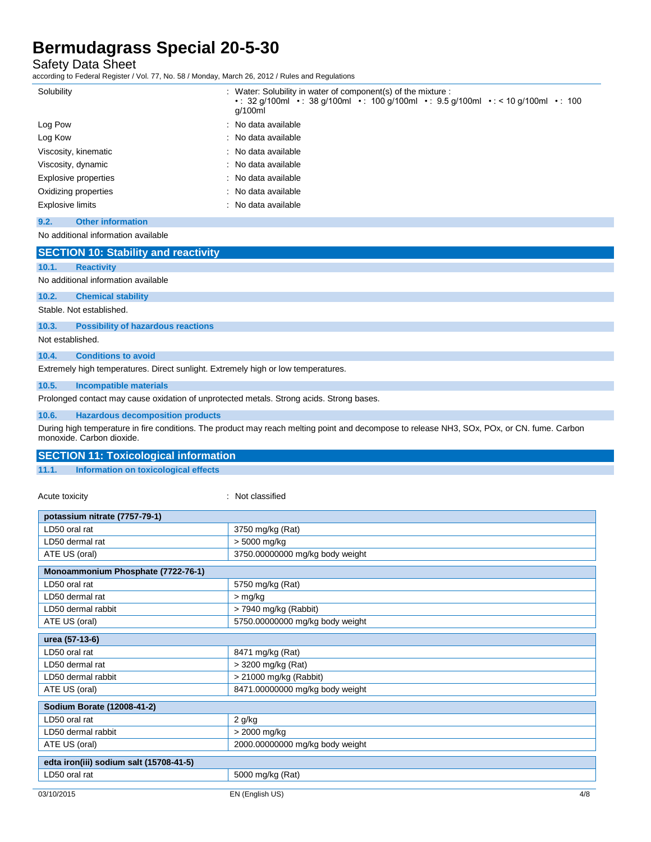Safety Data Sheet

according to Federal Register / Vol. 77, No. 58 / Monday, March 26, 2012 / Rules and Regulations

| Solubility                       | : Water: Solubility in water of component(s) of the mixture :<br>• 32 q/100ml • 38 q/100ml • 100 q/100ml • 9.5 q/100ml • < 10 q/100ml • 100<br>g/100ml |
|----------------------------------|--------------------------------------------------------------------------------------------------------------------------------------------------------|
| Log Pow                          | : No data available                                                                                                                                    |
| Log Kow                          | $\therefore$ No data available                                                                                                                         |
| Viscosity, kinematic             | : No data available                                                                                                                                    |
| Viscosity, dynamic               | $\therefore$ No data available                                                                                                                         |
| Explosive properties             | : No data available                                                                                                                                    |
| Oxidizing properties             | : No data available                                                                                                                                    |
| Explosive limits                 | : No data available                                                                                                                                    |
| 9.2.<br><b>Other information</b> |                                                                                                                                                        |

No additional information available

|                          | <b>SECTION 10: Stability and reactivity</b> |  |  |
|--------------------------|---------------------------------------------|--|--|
| 10.1.                    | <b>Reactivity</b>                           |  |  |
|                          | No additional information available         |  |  |
| 10.2.                    | <b>Chemical stability</b>                   |  |  |
| Stable, Not established. |                                             |  |  |
| 10.3.                    | <b>Possibility of hazardous reactions</b>   |  |  |
| Not established.         |                                             |  |  |

**10.4. Conditions to avoid**

Extremely high temperatures. Direct sunlight. Extremely high or low temperatures.

**10.5. Incompatible materials**

Prolonged contact may cause oxidation of unprotected metals. Strong acids. Strong bases.

#### **10.6. Hazardous decomposition products**

During high temperature in fire conditions. The product may reach melting point and decompose to release NH3, SOx, POx, or CN. fume. Carbon monoxide. Carbon dioxide.

### **SECTION 11: Toxicological information**

**11.1. Information on toxicological effects**

Acute toxicity in the contract of the classified in the classified in the classified in the classified in the classified in the classified in the classified in the classified in the classified in the classified in the clas

| potassium nitrate (7757-79-1)           |                                 |
|-----------------------------------------|---------------------------------|
| LD50 oral rat                           | 3750 mg/kg (Rat)                |
| LD50 dermal rat                         | > 5000 mg/kg                    |
| ATE US (oral)                           | 3750.00000000 mg/kg body weight |
| Monoammonium Phosphate (7722-76-1)      |                                 |
| LD50 oral rat                           | 5750 mg/kg (Rat)                |
| LD50 dermal rat                         | $>$ mg/kg                       |
| LD50 dermal rabbit                      | > 7940 mg/kg (Rabbit)           |
| ATE US (oral)                           | 5750.00000000 mg/kg body weight |
| urea (57-13-6)                          |                                 |
| LD50 oral rat                           | 8471 mg/kg (Rat)                |
| LD50 dermal rat                         | > 3200 mg/kg (Rat)              |
| LD50 dermal rabbit                      | > 21000 mg/kg (Rabbit)          |
| ATE US (oral)                           | 8471.00000000 mg/kg body weight |
| Sodium Borate (12008-41-2)              |                                 |
| LD50 oral rat                           | $2$ g/kg                        |
| LD50 dermal rabbit                      | > 2000 mg/kg                    |
| ATE US (oral)                           | 2000.00000000 mg/kg body weight |
| edta iron(iii) sodium salt (15708-41-5) |                                 |
| LD50 oral rat                           | 5000 mg/kg (Rat)                |
| 03/10/2015                              | 4/8<br>EN (English US)          |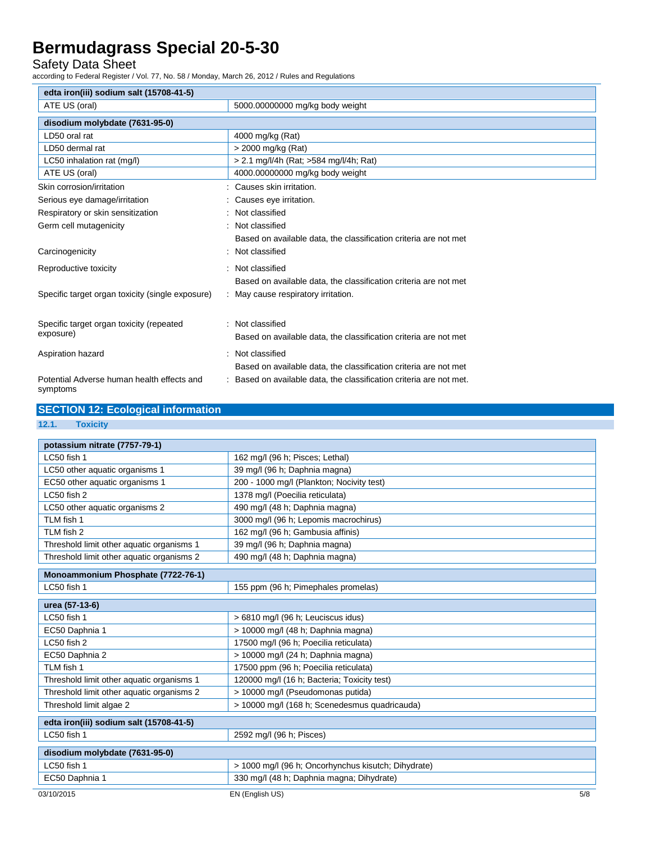Safety Data Sheet

according to Federal Register / Vol. 77, No. 58 / Monday, March 26, 2012 / Rules and Regulations

| edta iron(iii) sodium salt (15708-41-5)                |                                                                   |
|--------------------------------------------------------|-------------------------------------------------------------------|
| ATE US (oral)                                          | 5000.00000000 mg/kg body weight                                   |
| disodium molybdate (7631-95-0)                         |                                                                   |
| LD50 oral rat                                          | 4000 mg/kg (Rat)                                                  |
| LD50 dermal rat                                        | > 2000 mg/kg (Rat)                                                |
| LC50 inhalation rat (mg/l)                             | > 2.1 mg/l/4h (Rat; >584 mg/l/4h; Rat)                            |
| ATE US (oral)                                          | 4000.00000000 mg/kg body weight                                   |
| Skin corrosion/irritation                              | Causes skin irritation.                                           |
| Serious eye damage/irritation                          | Causes eye irritation.                                            |
| Respiratory or skin sensitization                      | Not classified                                                    |
| Germ cell mutagenicity                                 | Not classified                                                    |
|                                                        | Based on available data, the classification criteria are not met  |
| Carcinogenicity                                        | Not classified                                                    |
| Reproductive toxicity                                  | Not classified                                                    |
|                                                        | Based on available data, the classification criteria are not met  |
| Specific target organ toxicity (single exposure)       | May cause respiratory irritation.                                 |
|                                                        |                                                                   |
| Specific target organ toxicity (repeated               | : Not classified                                                  |
| exposure)                                              | Based on available data, the classification criteria are not met  |
| Aspiration hazard                                      | Not classified                                                    |
|                                                        | Based on available data, the classification criteria are not met  |
| Potential Adverse human health effects and<br>symptoms | Based on available data, the classification criteria are not met. |

| <b>SECTION 12: Ecological information</b> |
|-------------------------------------------|
|-------------------------------------------|

**12.1. Toxicity**

| potassium nitrate (7757-79-1)             |                                                     |     |
|-------------------------------------------|-----------------------------------------------------|-----|
| LC50 fish 1                               | 162 mg/l (96 h; Pisces; Lethal)                     |     |
| LC50 other aquatic organisms 1            | 39 mg/l (96 h; Daphnia magna)                       |     |
| EC50 other aquatic organisms 1            | 200 - 1000 mg/l (Plankton; Nocivity test)           |     |
| LC50 fish 2                               | 1378 mg/l (Poecilia reticulata)                     |     |
| LC50 other aquatic organisms 2            | 490 mg/l (48 h; Daphnia magna)                      |     |
| TLM fish 1                                | 3000 mg/l (96 h; Lepomis macrochirus)               |     |
| TLM fish 2                                | 162 mg/l (96 h; Gambusia affinis)                   |     |
| Threshold limit other aquatic organisms 1 | 39 mg/l (96 h; Daphnia magna)                       |     |
| Threshold limit other aquatic organisms 2 | 490 mg/l (48 h; Daphnia magna)                      |     |
| Monoammonium Phosphate (7722-76-1)        |                                                     |     |
| LC50 fish 1                               | 155 ppm (96 h; Pimephales promelas)                 |     |
| urea (57-13-6)                            |                                                     |     |
| LC50 fish 1                               | > 6810 mg/l (96 h; Leuciscus idus)                  |     |
| EC50 Daphnia 1                            | > 10000 mg/l (48 h; Daphnia magna)                  |     |
| LC50 fish 2                               | 17500 mg/l (96 h; Poecilia reticulata)              |     |
| EC50 Daphnia 2                            | > 10000 mg/l (24 h; Daphnia magna)                  |     |
| TLM fish 1                                | 17500 ppm (96 h; Poecilia reticulata)               |     |
| Threshold limit other aquatic organisms 1 | 120000 mg/l (16 h; Bacteria; Toxicity test)         |     |
| Threshold limit other aquatic organisms 2 | > 10000 mg/l (Pseudomonas putida)                   |     |
| Threshold limit algae 2                   | > 10000 mg/l (168 h; Scenedesmus quadricauda)       |     |
| edta iron(iii) sodium salt (15708-41-5)   |                                                     |     |
| LC50 fish 1                               | 2592 mg/l (96 h; Pisces)                            |     |
| disodium molybdate (7631-95-0)            |                                                     |     |
| LC50 fish 1                               | > 1000 mg/l (96 h; Oncorhynchus kisutch; Dihydrate) |     |
| EC50 Daphnia 1                            | 330 mg/l (48 h; Daphnia magna; Dihydrate)           |     |
| 03/10/2015                                | EN (English US)                                     | 5/8 |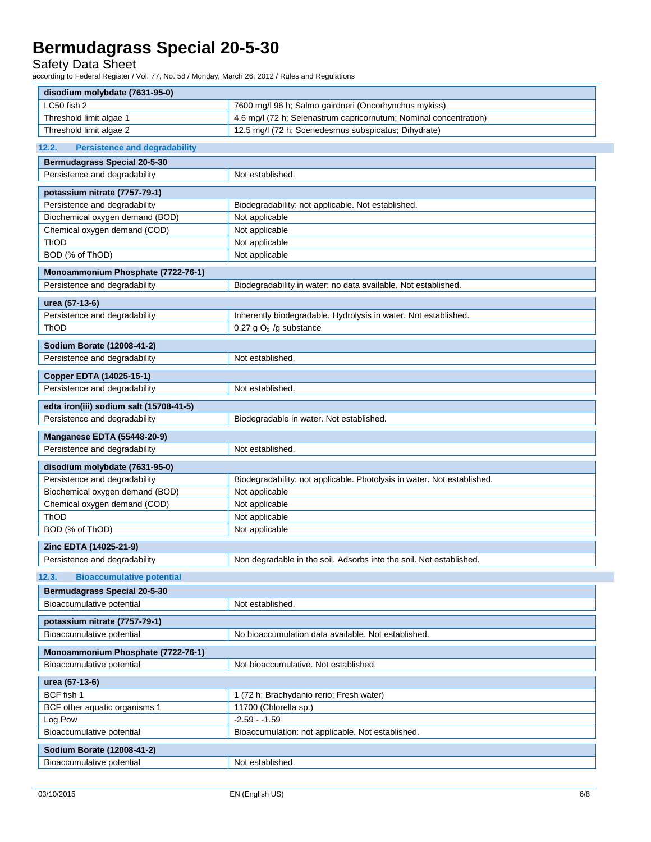Safety Data Sheet

according to Federal Register / Vol. 77, No. 58 / Monday, March 26, 2012 / Rules and Regulations

| disodium molybdate (7631-95-0)                                    |                                                                         |
|-------------------------------------------------------------------|-------------------------------------------------------------------------|
| LC50 fish 2                                                       | 7600 mg/l 96 h; Salmo gairdneri (Oncorhynchus mykiss)                   |
| Threshold limit algae 1                                           | 4.6 mg/l (72 h; Selenastrum capricornutum; Nominal concentration)       |
| Threshold limit algae 2                                           | 12.5 mg/l (72 h; Scenedesmus subspicatus; Dihydrate)                    |
| 12.2.<br><b>Persistence and degradability</b>                     |                                                                         |
| <b>Bermudagrass Special 20-5-30</b>                               |                                                                         |
| Persistence and degradability                                     | Not established.                                                        |
|                                                                   |                                                                         |
| potassium nitrate (7757-79-1)                                     |                                                                         |
| Persistence and degradability<br>Biochemical oxygen demand (BOD)  | Biodegradability: not applicable. Not established.<br>Not applicable    |
| Chemical oxygen demand (COD)                                      | Not applicable                                                          |
| ThOD                                                              | Not applicable                                                          |
| BOD (% of ThOD)                                                   | Not applicable                                                          |
|                                                                   |                                                                         |
| Monoammonium Phosphate (7722-76-1)                                |                                                                         |
| Persistence and degradability                                     | Biodegradability in water: no data available. Not established.          |
| urea (57-13-6)                                                    |                                                                         |
| Persistence and degradability                                     | Inherently biodegradable. Hydrolysis in water. Not established.         |
| ThOD                                                              | 0.27 g $O2$ /g substance                                                |
| Sodium Borate (12008-41-2)                                        |                                                                         |
| Persistence and degradability                                     | Not established.                                                        |
|                                                                   |                                                                         |
| Copper EDTA (14025-15-1)                                          |                                                                         |
| Persistence and degradability                                     | Not established.                                                        |
| edta iron(iii) sodium salt (15708-41-5)                           |                                                                         |
| Persistence and degradability                                     | Biodegradable in water. Not established.                                |
| <b>Manganese EDTA (55448-20-9)</b>                                |                                                                         |
| Persistence and degradability                                     | Not established.                                                        |
| disodium molybdate (7631-95-0)                                    |                                                                         |
| Persistence and degradability                                     | Biodegradability: not applicable. Photolysis in water. Not established. |
| Biochemical oxygen demand (BOD)                                   | Not applicable                                                          |
|                                                                   |                                                                         |
| Chemical oxygen demand (COD)                                      | Not applicable                                                          |
| ThOD                                                              | Not applicable                                                          |
| BOD (% of ThOD)                                                   | Not applicable                                                          |
|                                                                   |                                                                         |
| Zinc EDTA (14025-21-9)                                            |                                                                         |
|                                                                   | Non degradable in the soil. Adsorbs into the soil. Not established.     |
| Persistence and degradability<br><b>Bioaccumulative potential</b> |                                                                         |
| <b>Bermudagrass Special 20-5-30</b>                               |                                                                         |
| Bioaccumulative potential                                         | Not established.                                                        |
| potassium nitrate (7757-79-1)                                     |                                                                         |
| Bioaccumulative potential                                         | No bioaccumulation data available. Not established.                     |
|                                                                   |                                                                         |
| Monoammonium Phosphate (7722-76-1)                                |                                                                         |
| Bioaccumulative potential                                         | Not bioaccumulative. Not established.                                   |
| urea (57-13-6)                                                    |                                                                         |
| BCF fish 1                                                        | 1 (72 h; Brachydanio rerio; Fresh water)                                |
| BCF other aquatic organisms 1                                     | 11700 (Chlorella sp.)                                                   |
| Log Pow                                                           | $-2.59 - 1.59$                                                          |
| Bioaccumulative potential                                         | Bioaccumulation: not applicable. Not established.                       |
| 12.3.<br>Sodium Borate (12008-41-2)                               |                                                                         |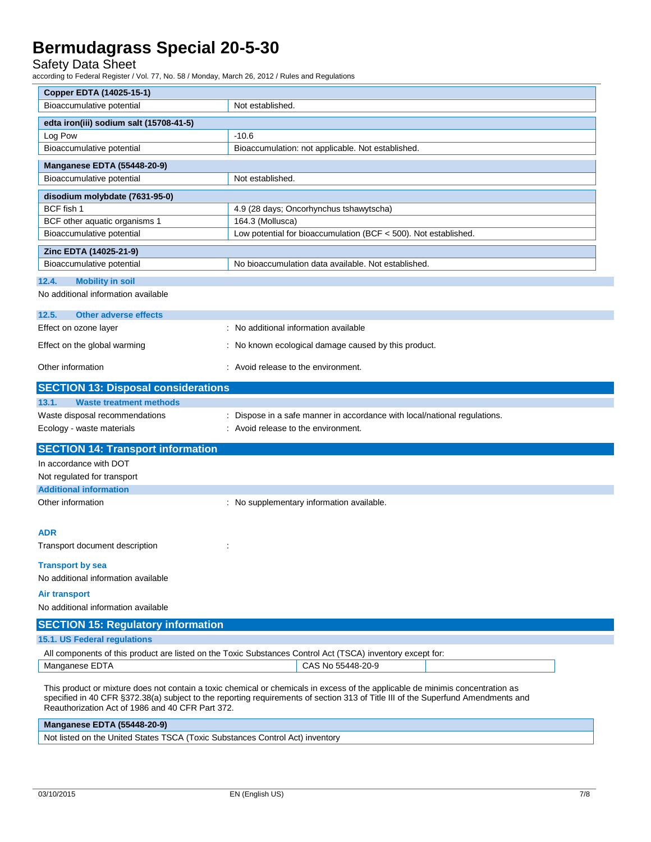### Safety Data Sheet

according to Federal Register / Vol. 77, No. 58 / Monday, March 26, 2012 / Rules and Regulations

| Copper EDTA (14025-15-1)                         |                                                                                                                                                                                                                                                                    |
|--------------------------------------------------|--------------------------------------------------------------------------------------------------------------------------------------------------------------------------------------------------------------------------------------------------------------------|
| Bioaccumulative potential                        | Not established.                                                                                                                                                                                                                                                   |
| edta iron(iii) sodium salt (15708-41-5)          |                                                                                                                                                                                                                                                                    |
| Log Pow                                          | $-10.6$                                                                                                                                                                                                                                                            |
| Bioaccumulative potential                        | Bioaccumulation: not applicable. Not established.                                                                                                                                                                                                                  |
| <b>Manganese EDTA (55448-20-9)</b>               |                                                                                                                                                                                                                                                                    |
| Bioaccumulative potential                        | Not established.                                                                                                                                                                                                                                                   |
| disodium molybdate (7631-95-0)                   |                                                                                                                                                                                                                                                                    |
| BCF fish 1                                       | 4.9 (28 days; Oncorhynchus tshawytscha)                                                                                                                                                                                                                            |
| BCF other aquatic organisms 1                    | 164.3 (Mollusca)                                                                                                                                                                                                                                                   |
| Bioaccumulative potential                        | Low potential for bioaccumulation (BCF < 500). Not established.                                                                                                                                                                                                    |
| Zinc EDTA (14025-21-9)                           |                                                                                                                                                                                                                                                                    |
| Bioaccumulative potential                        | No bioaccumulation data available. Not established.                                                                                                                                                                                                                |
|                                                  |                                                                                                                                                                                                                                                                    |
| 12.4.<br><b>Mobility in soil</b>                 |                                                                                                                                                                                                                                                                    |
| No additional information available              |                                                                                                                                                                                                                                                                    |
| 12.5.<br><b>Other adverse effects</b>            |                                                                                                                                                                                                                                                                    |
| Effect on ozone layer                            | : No additional information available                                                                                                                                                                                                                              |
| Effect on the global warming                     | : No known ecological damage caused by this product.                                                                                                                                                                                                               |
|                                                  |                                                                                                                                                                                                                                                                    |
| Other information                                | : Avoid release to the environment.                                                                                                                                                                                                                                |
| <b>SECTION 13: Disposal considerations</b>       |                                                                                                                                                                                                                                                                    |
| 13.1.<br><b>Waste treatment methods</b>          |                                                                                                                                                                                                                                                                    |
| Waste disposal recommendations                   | : Dispose in a safe manner in accordance with local/national regulations.                                                                                                                                                                                          |
| Ecology - waste materials                        | : Avoid release to the environment.                                                                                                                                                                                                                                |
|                                                  |                                                                                                                                                                                                                                                                    |
| <b>SECTION 14: Transport information</b>         |                                                                                                                                                                                                                                                                    |
| In accordance with DOT                           |                                                                                                                                                                                                                                                                    |
| Not regulated for transport                      |                                                                                                                                                                                                                                                                    |
| <b>Additional information</b>                    |                                                                                                                                                                                                                                                                    |
| Other information                                | : No supplementary information available.                                                                                                                                                                                                                          |
|                                                  |                                                                                                                                                                                                                                                                    |
| <b>ADR</b>                                       |                                                                                                                                                                                                                                                                    |
| Transport document description                   |                                                                                                                                                                                                                                                                    |
| <b>Transport by sea</b>                          |                                                                                                                                                                                                                                                                    |
| No additional information available              |                                                                                                                                                                                                                                                                    |
| <b>Air transport</b>                             |                                                                                                                                                                                                                                                                    |
| No additional information available              |                                                                                                                                                                                                                                                                    |
|                                                  |                                                                                                                                                                                                                                                                    |
| <b>SECTION 15: Regulatory information</b>        |                                                                                                                                                                                                                                                                    |
| 15.1. US Federal regulations                     |                                                                                                                                                                                                                                                                    |
|                                                  | All components of this product are listed on the Toxic Substances Control Act (TSCA) inventory except for:                                                                                                                                                         |
| Manganese EDTA                                   | CAS No 55448-20-9                                                                                                                                                                                                                                                  |
| Reauthorization Act of 1986 and 40 CFR Part 372. | This product or mixture does not contain a toxic chemical or chemicals in excess of the applicable de minimis concentration as<br>specified in 40 CFR §372.38(a) subject to the reporting requirements of section 313 of Title III of the Superfund Amendments and |

| <b>Manganese EDTA (55448-20-9)</b> |                                                                               |
|------------------------------------|-------------------------------------------------------------------------------|
|                                    | Not listed on the United States TSCA (Toxic Substances Control Act) inventory |